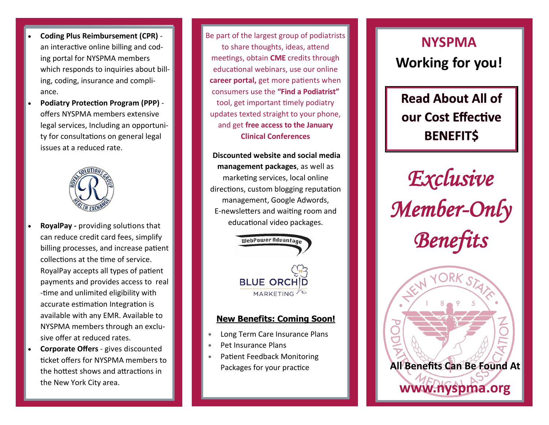- **Coding Plus Reimbursement (CPR)** ‐ an interactive online billing and cod‐ ing portal for NYSPMA members which responds to inquiries about billing, coding, insurance and compli‐ ance.
- **Podiatry Protection Program (PPP)** ‐ offers NYSPMA members extensive legal services, Including an opportuni‐ ty for consultations on general legal issues at a reduced rate.



- **RoyalPay ‐** providing solutions that can reduce credit card fees, simplify billing processes, and increase patient collections at the time of service. RoyalPay accepts all types of patient payments and provides access to real ‐time and unlimited eligibility with accurate estimation Integration is available with any EMR. Available to NYSPMA members through an exclu‐ sive offer at reduced rates.
- **Corporate Offers** ‐ gives discounted ticket offers for NYSPMA members to the hottest shows and attractions in the New York City area.

Be part of the largest group of podiatrists to share thoughts, ideas, attend meetings, obtain **CME** credits through educational webinars, use our online **career portal,** get more patients when consumers use the **"Find a Podiatrist"** tool, get important timely podiatry updates texted straight to your phone, and get **free access to the January Clinical Conferences**

**Discounted website and social media management packages**, as well as marketing services, local online directions, custom blogging reputation management, Google Adwords, E‐newsletters and waiting room and educational video packages.



### **New Benefits: Coming Soon!**

- Long Term Care Insurance Plans
- Pet Insurance Plans
- Patient Feedback Monitoring Packages for your practice

# **NYSPMA Working for you!**

**Read About All of** our Cost Effective **BENEFIT\$** 

*Exclusive Member-Only Benefits*